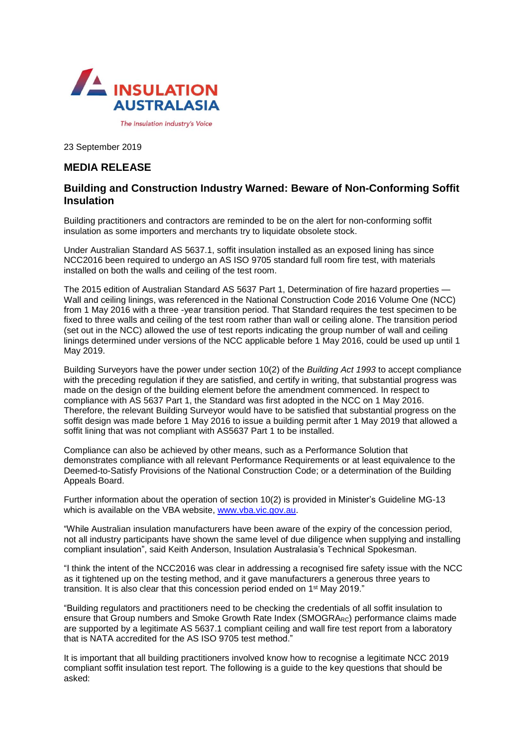

23 September 2019

## **MEDIA RELEASE**

## **Building and Construction Industry Warned: Beware of Non-Conforming Soffit Insulation**

Building practitioners and contractors are reminded to be on the alert for non-conforming soffit insulation as some importers and merchants try to liquidate obsolete stock.

Under Australian Standard AS 5637.1, soffit insulation installed as an exposed lining has since NCC2016 been required to undergo an AS ISO 9705 standard full room fire test, with materials installed on both the walls and ceiling of the test room.

The 2015 edition of Australian Standard AS 5637 Part 1, Determination of fire hazard properties -Wall and ceiling linings, was referenced in the National Construction Code 2016 Volume One (NCC) from 1 May 2016 with a three -year transition period. That Standard requires the test specimen to be fixed to three walls and ceiling of the test room rather than wall or ceiling alone. The transition period (set out in the NCC) allowed the use of test reports indicating the group number of wall and ceiling linings determined under versions of the NCC applicable before 1 May 2016, could be used up until 1 May 2019.

Building Surveyors have the power under section 10(2) of the *Building Act 1993* to accept compliance with the preceding regulation if they are satisfied, and certify in writing, that substantial progress was made on the design of the building element before the amendment commenced. In respect to compliance with AS 5637 Part 1, the Standard was first adopted in the NCC on 1 May 2016. Therefore, the relevant Building Surveyor would have to be satisfied that substantial progress on the soffit design was made before 1 May 2016 to issue a building permit after 1 May 2019 that allowed a soffit lining that was not compliant with AS5637 Part 1 to be installed.

Compliance can also be achieved by other means, such as a Performance Solution that demonstrates compliance with all relevant Performance Requirements or at least equivalence to the Deemed-to-Satisfy Provisions of the National Construction Code; or a determination of the Building Appeals Board.

Further information about the operation of section 10(2) is provided in Minister's Guideline MG-13 which is available on the VBA website, [www.vba.vic.gov.au.](http://www.vba.vic.gov.au/)

"While Australian insulation manufacturers have been aware of the expiry of the concession period, not all industry participants have shown the same level of due diligence when supplying and installing compliant insulation", said Keith Anderson, Insulation Australasia's Technical Spokesman.

"I think the intent of the NCC2016 was clear in addressing a recognised fire safety issue with the NCC as it tightened up on the testing method, and it gave manufacturers a generous three years to transition. It is also clear that this concession period ended on 1<sup>st</sup> May 2019."

"Building regulators and practitioners need to be checking the credentials of all soffit insulation to ensure that Group numbers and Smoke Growth Rate Index (SMOGRARC) performance claims made are supported by a legitimate AS 5637.1 compliant ceiling and wall fire test report from a laboratory that is NATA accredited for the AS ISO 9705 test method."

It is important that all building practitioners involved know how to recognise a legitimate NCC 2019 compliant soffit insulation test report. The following is a guide to the key questions that should be asked: